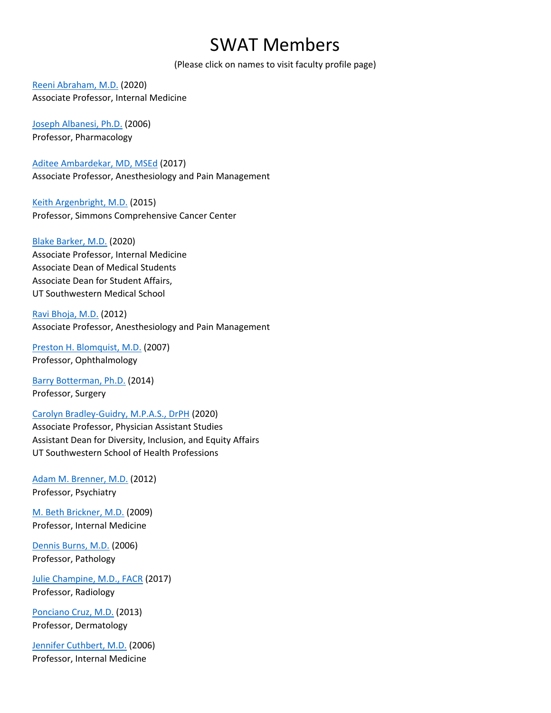## SWAT Members

(Please click on names to visit faculty profile page)

[Reeni Abraham, M.D.](https://profiles.utsouthwestern.edu/profile/35944/reeni-abraham.html) (2020) Associate Professor, Internal Medicine

[Joseph Albanesi, Ph.D.](https://profiles.utsouthwestern.edu/profile/10078/joseph-albanesi.html) (2006) Professor, Pharmacology

[Aditee Ambardekar, MD, MSEd](https://profiles.utsouthwestern.edu/profile/149866/aditee-ambardekar.html) (2017) Associate Professor, Anesthesiology and Pain Management

[Keith Argenbright, M.D.](https://profiles.utsouthwestern.edu/profile/96573/keith-argenbright.html) (2015) Professor, Simmons Comprehensive Cancer Center

[Blake Barker, M.D.](https://profiles.utsouthwestern.edu/profile/126975/blake-barker.html) (2020) Associate Professor, Internal Medicine Associate Dean of Medical Students Associate Dean for Student Affairs, UT Southwestern Medical School

[Ravi Bhoja, M.D.](https://profiles.utsouthwestern.edu/profile/68889/ravi-bhoja.html) (2012) Associate Professor, Anesthesiology and Pain Management

[Preston H. Blomquist, M.D.](https://profiles.utsouthwestern.edu/profile/10675/preston-blomquist.html) (2007) Professor, Ophthalmology

[Barry Botterman, Ph.D.](https://profiles.utsouthwestern.edu/profile/10747/barry-botterman.html) (2014) Professor, Surgery

## [Carolyn Bradley-Guidry, M.P.A.S., DrPH](https://profiles.utsouthwestern.edu/profile/10784/carolyn-bradley-guidry.html) (2020)

Associate Professor, Physician Assistant Studies Assistant Dean for Diversity, Inclusion, and Equity Affairs UT Southwestern School of Health Professions

[Adam M. Brenner, M.D.](https://profiles.utsouthwestern.edu/profile/84117/adam-brenner.html) (2012) Professor, Psychiatry

[M. Beth Brickner, M.D.](https://profiles.utsouthwestern.edu/profile/10822/beth-brickner.html) (2009) Professor, Internal Medicine

[Dennis Burns, M.D.](https://profiles.utsouthwestern.edu/profile/10983/dennis-burns.html) (2006) Professor, Pathology

[Julie Champine, M.D., FACR](https://profiles.utsouthwestern.edu/profile/11208/julie-champine.html) (2017) Professor, Radiology

[Ponciano Cruz, M.D.](https://profiles.utsouthwestern.edu/profile/11577/ponciano-cruz.html) (2013) Professor, Dermatology

[Jennifer Cuthbert, M.D.](https://profiles.utsouthwestern.edu/profile/11608/jennifer-cuthbert.html) (2006) Professor, Internal Medicine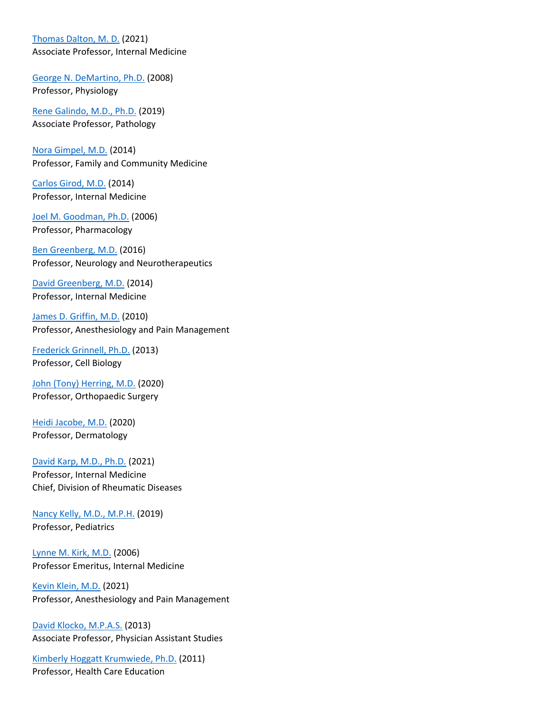[Thomas Dalton, M. D.](https://profiles.utsouthwestern.edu/profile/67892/thomas-dalton.html) (2021)

Associate Professor, Internal Medicine

[George N. DeMartino, Ph.D.](https://profiles.utsouthwestern.edu/profile/11761/george-demartino.html) (2008) Professor, Physiology

[Rene Galindo, M.D., Ph.D.](https://profiles.utsouthwestern.edu/profile/12410/rene-galindo.html) (2019) Associate Professor, Pathology

[Nora Gimpel, M.D.](https://profiles.utsouthwestern.edu/profile/58097/nora-gimpel.html) (2014) Professor, Family and Community Medicine

[Carlos Girod, M.D.](https://profiles.utsouthwestern.edu/profile/30441/carlos-girod.html) (2014) Professor, Internal Medicine

[Joel M. Goodman, Ph.D.](https://profiles.utsouthwestern.edu/profile/12677/joel-goodman.html) (2006) Professor, Pharmacology

[Ben Greenberg, M.D.](https://profiles.utsouthwestern.edu/profile/105091/benjamin-greenberg.html) (2016) Professor, Neurology and Neurotherapeutics

[David Greenberg, M.D.](https://profiles.utsouthwestern.edu/profile/116699/david-greenberg.html) (2014) Professor, Internal Medicine

[James D. Griffin, M.D.](https://profiles.utsouthwestern.edu/profile/12799/james-griffin.html) (2010) Professor, Anesthesiology and Pain Management

[Frederick Grinnell, Ph.D.](https://profiles.utsouthwestern.edu/profile/12808/frederick-grinnell.html) (2013) Professor, Cell Biology

[John \(Tony\) Herring, M.D.](https://profiles.utsouthwestern.edu/profile/13161/john-herring.html) (2020) Professor, Orthopaedic Surgery

[Heidi Jacobe, M.D.](https://profiles.utsouthwestern.edu/profile/54629/heidi-jacobe.html) (2020) Professor, Dermatology

[David Karp, M.D., Ph.D.](https://profiles.utsouthwestern.edu/profile/13762/david-karp.html) (2021) Professor, Internal Medicine Chief, Division of Rheumatic Diseases

[Nancy Kelly, M.D., M.P.H.](https://profiles.utsouthwestern.edu/profile/68446/nancy-kelly.html) (2019) Professor, Pediatrics

[Lynne M. Kirk, M.D.](https://profiles.utsouthwestern.edu/profile/13925/lynne-kirk.html) (2006) Professor Emeritus, Internal Medicine

[Kevin Klein, M.D.](https://profiles.utsouthwestern.edu/profile/13949/kevin-klein.html) (2021) Professor, Anesthesiology and Pain Management

[David Klocko, M.P.A.S.](https://profiles.utsouthwestern.edu/profile/76623/david-klocko.html) (2013) Associate Professor, Physician Assistant Studies

[Kimberly Hoggatt Krumwiede, Ph.D.](https://profiles.utsouthwestern.edu/profile/13263/kimberly-krumwiede.html) (2011) Professor, Health Care Education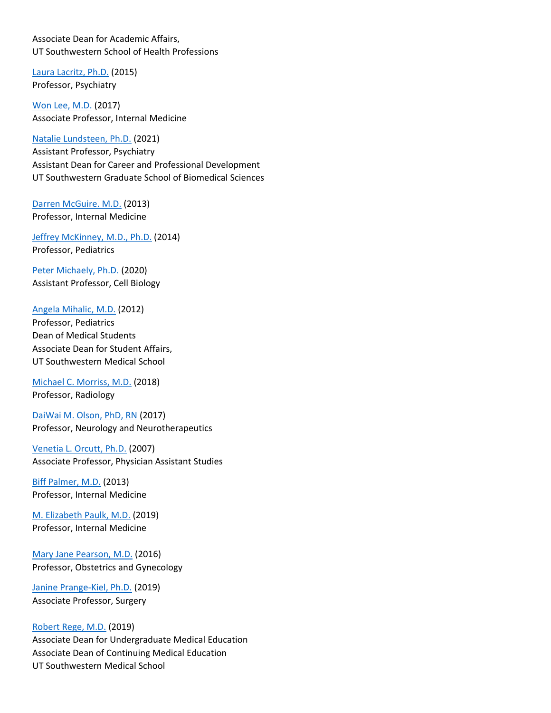Associate Dean for Academic Affairs, UT Southwestern School of Health Professions

[Laura Lacritz, Ph.D.](https://profiles.utsouthwestern.edu/profile/14083/laura-lacritz.html) (2015) Professor, Psychiatry

[Won Lee, M.D.](https://profiles.utsouthwestern.edu/profile/101625/won-lee.html) (2017) Associate Professor, Internal Medicine

[Natalie Lundsteen, Ph.D.](https://profiles.utsouthwestern.edu/profile/154603/natalie-lundsteen.html) (2021) Assistant Professor, Psychiatry Assistant Dean for Career and Professional Development UT Southwestern Graduate School of Biomedical Sciences

[Darren McGuire. M.D.](https://profiles.utsouthwestern.edu/profile/19303/darren-mcguire.html) (2013) Professor, Internal Medicine

[Jeffrey McKinney, M.D., Ph.D.](https://profiles.utsouthwestern.edu/profile/111911/jeffrey-mckinney.html) (2014) Professor, Pediatrics

[Peter Michaely, Ph.D.](https://profiles.utsouthwestern.edu/profile/14923/peter-michaely.html) (2020) Assistant Professor, Cell Biology

[Angela Mihalic, M.D.](https://profiles.utsouthwestern.edu/profile/28846/angela-mihalic.html) (2012)

Professor, Pediatrics Dean of Medical Students Associate Dean for Student Affairs, UT Southwestern Medical School

[Michael C. Morriss, M.D.](https://profiles.utsouthwestern.edu/profile/89432/michael-morriss.html) (2018) Professor, Radiology

[DaiWai M. Olson, PhD, RN](https://profiles.utsouthwestern.edu/profile/137722/daiwai-olson.html) (2017) Professor, Neurology and Neurotherapeutics

[Venetia L. Orcutt, Ph.D.](https://profiles.utsouthwestern.edu/profile/15434/venetia-orcutt.html) (2007) Associate Professor, Physician Assistant Studies

[Biff Palmer, M.D.](https://profiles.utsouthwestern.edu/profile/15496/biff-palmer.html) (2013) Professor, Internal Medicine

[M. Elizabeth Paulk, M.D.](https://profiles.utsouthwestern.edu/profile/41481/mary-paulk.html) (2019) Professor, Internal Medicine

[Mary Jane Pearson, M.D.](https://profiles.utsouthwestern.edu/profile/15605/mary-pearson.html) (2016) Professor, Obstetrics and Gynecology

[Janine Prange-Kiel, Ph.D.](https://profiles.utsouthwestern.edu/profile/100812/janine-prange-kiel.html) (2019) Associate Professor, Surgery

[Robert Rege, M.D.](https://profiles.utsouthwestern.edu/profile/35637/robert-rege.html) (2019)

Associate Dean for Undergraduate Medical Education Associate Dean of Continuing Medical Education UT Southwestern Medical School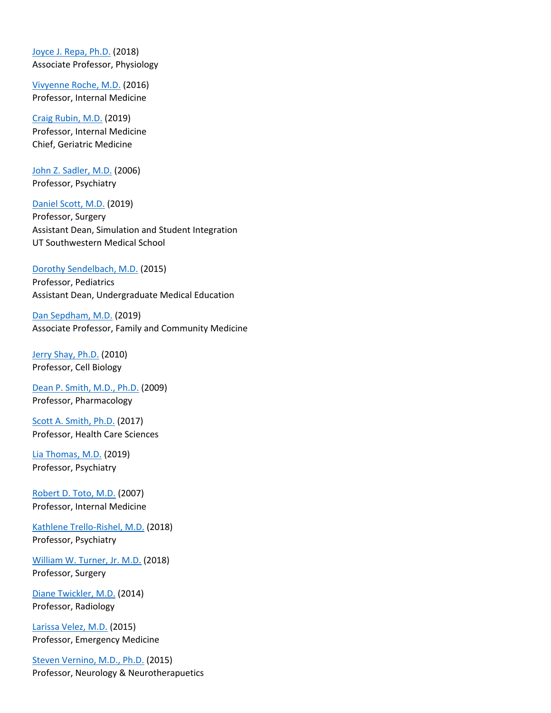[Joyce J. Repa, Ph.D.](https://profiles.utsouthwestern.edu/profile/30229/joyce-repa.html) (2018) Associate Professor, Physiology

[Vivyenne Roche, M.D.](https://profiles.utsouthwestern.edu/profile/36251/vivyenne-roche.html) (2016) Professor, Internal Medicine

[Craig Rubin, M.D.](https://profiles.utsouthwestern.edu/profile/16278/craig-rubin.html) (2019) Professor, Internal Medicine Chief, Geriatric Medicine

[John Z. Sadler, M.D.](https://profiles.utsouthwestern.edu/profile/16325/john-sadler.html) (2006) Professor, Psychiatry

[Daniel Scott, M.D.](https://profiles.utsouthwestern.edu/profile/35961/daniel-scott.html) (2019) Professor, Surgery Assistant Dean, Simulation and Student Integration UT Southwestern Medical School

## [Dorothy Sendelbach, M.D.](https://profiles.utsouthwestern.edu/profile/16519/dorothy-sendelbach.html) (2015)

Professor, Pediatrics Assistant Dean, Undergraduate Medical Education

[Dan Sepdham, M.D.](https://profiles.utsouthwestern.edu/profile/85330/dan-sepdham.html) (2019) Associate Professor, Family and Community Medicine

[Jerry Shay, Ph.D.](https://profiles.utsouthwestern.edu/profile/16566/jerry-shay.html) (2010) Professor, Cell Biology

[Dean P. Smith, M.D., Ph.D.](https://profiles.utsouthwestern.edu/profile/16780/dean-smith.html) (2009) Professor, Pharmacology

[Scott A. Smith, Ph.D.](https://profiles.utsouthwestern.edu/profile/40990/scott-smith.html) (2017) Professor, Health Care Sciences

[Lia Thomas, M.D.](https://profiles.utsouthwestern.edu/profile/76765/lia-thomas.html) (2019) Professor, Psychiatry

[Robert D. Toto, M.D.](https://profiles.utsouthwestern.edu/profile/17371/robert-toto.html) (2007) Professor, Internal Medicine

[Kathlene Trello-Rishel, M.D.](https://profiles.utsouthwestern.edu/profile/92260/jodie-trello-rishel.html) (2018) Professor, Psychiatry

[William W. Turner, Jr. M.D.](https://profiles.utsouthwestern.edu/profile/93455/william-turner.html) (2018) Professor, Surgery

[Diane Twickler, M.D.](https://profiles.utsouthwestern.edu/profile/17466/diane-twickler.html) (2014) Professor, Radiology

[Larissa Velez, M.D.](https://profiles.utsouthwestern.edu/profile/40593/larissa-velez.html) (2015) Professor, Emergency Medicine

[Steven Vernino, M.D., Ph.D.](https://profiles.utsouthwestern.edu/profile/67844/steven-vernino.html) (2015) Professor, Neurology & Neurotherapuetics